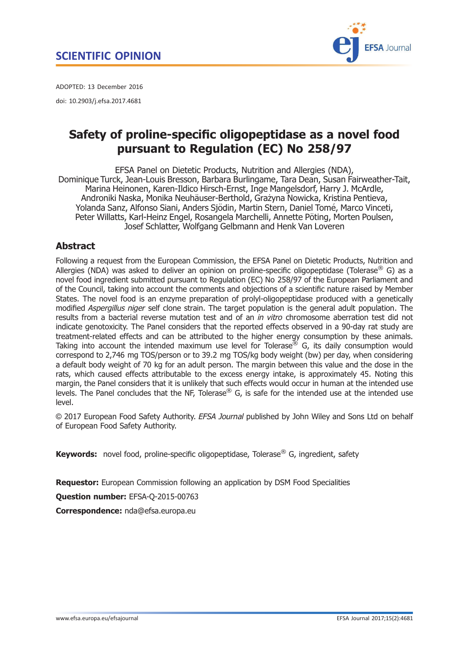

<span id="page-0-0"></span>ADOPTED: 13 December 2016 doi: 10.2903/j.efsa.2017.4681

# Safety of proline-specific oligopeptidase as a novel food pursuant to Regulation (EC) No 258/97

EFSA Panel on Dietetic Products, Nutrition and Allergies (NDA), Dominique Turck, Jean-Louis Bresson, Barbara Burlingame, Tara Dean, Susan Fairweather-Tait, Marina Heinonen, Karen-Ildico Hirsch-Ernst, Inge Mangelsdorf, Harry J. McArdle, Androniki Naska, Monika Neuhäuser-Berthold, Grażyna Nowicka, Kristina Pentieva, Yolanda Sanz, Alfonso Siani, Anders Sjödin, Martin Stern, Daniel Tomé, Marco Vinceti, Peter Willatts, Karl-Heinz Engel, Rosangela Marchelli, Annette Pöting, Morten Poulsen, Josef Schlatter, Wolfgang Gelbmann and Henk Van Loveren

## Abstract

Following a request from the European Commission, the EFSA Panel on Dietetic Products, Nutrition and Allergies (NDA) was asked to deliver an opinion on proline-specific oligopeptidase (Tolerase<sup>®</sup> G) as a novel food ingredient submitted pursuant to Regulation (EC) No 258/97 of the European Parliament and of the Council, taking into account the comments and objections of a scientific nature raised by Member States. The novel food is an enzyme preparation of prolyl-oligopeptidase produced with a genetically modified Aspergillus niger self clone strain. The target population is the general adult population. The results from a bacterial reverse mutation test and of an in vitro chromosome aberration test did not indicate genotoxicity. The Panel considers that the reported effects observed in a 90-day rat study are treatment-related effects and can be attributed to the higher energy consumption by these animals. Taking into account the intended maximum use level for Tolerase<sup>®</sup> G, its daily consumption would correspond to 2,746 mg TOS/person or to 39.2 mg TOS/kg body weight (bw) per day, when considering a default body weight of 70 kg for an adult person. The margin between this value and the dose in the rats, which caused effects attributable to the excess energy intake, is approximately 45. Noting this margin, the Panel considers that it is unlikely that such effects would occur in human at the intended use levels. The Panel concludes that the NF, Tolerase<sup>®</sup> G, is safe for the intended use at the intended use level.

© 2017 European Food Safety Authority. EFSA Journal published by John Wiley and Sons Ltd on behalf of European Food Safety Authority.

Keywords: novel food, proline-specific oligopeptidase, Tolerase® G, ingredient, safety

**Requestor:** European Commission following an application by DSM Food Specialities

Question number: EFSA-Q-2015-00763

Correspondence: nda@efsa.europa.eu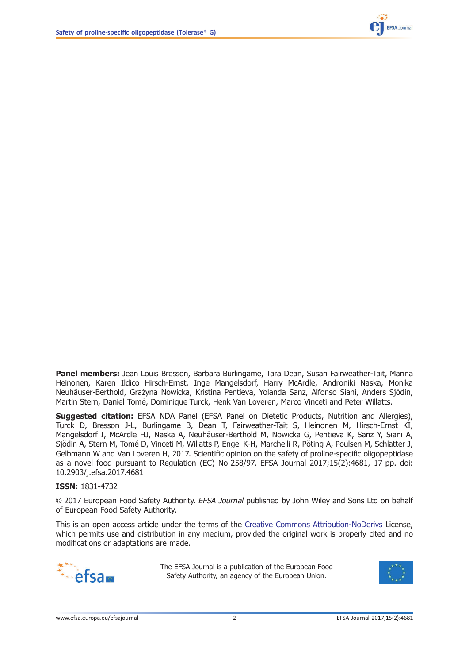

Panel members: Jean Louis Bresson, Barbara Burlingame, Tara Dean, Susan Fairweather-Tait, Marina Heinonen, Karen Ildico Hirsch-Ernst, Inge Mangelsdorf, Harry McArdle, Androniki Naska, Monika Neuhäuser-Berthold, Grazyna Nowicka, Kristina Pentieva, Yolanda Sanz, Alfonso Siani, Anders Sjödin, Martin Stern, Daniel Tomé, Dominique Turck, Henk Van Loveren, Marco Vinceti and Peter Willatts.

**Suggested citation:** EFSA NDA Panel (EFSA Panel on Dietetic Products, Nutrition and Allergies), Turck D, Bresson J-L, Burlingame B, Dean T, Fairweather-Tait S, Heinonen M, Hirsch-Ernst KI, Mangelsdorf I, McArdle HJ, Naska A, Neuhäuser-Berthold M, Nowicka G, Pentieva K, Sanz Y, Siani A, Sjödin A, Stern M, Tomé D, Vinceti M, Willatts P, Engel K-H, Marchelli R, Pöting A, Poulsen M, Schlatter J, Gelbmann W and Van Loveren H, 2017. Scientific opinion on the safety of proline-specific oligopeptidase as a novel food pursuant to Regulation (EC) No 258/97. EFSA Journal 2017;15(2):4681, 17 pp. doi: [10.2903/j.efsa.2017.4681](https://doi.org/10.2903/j.efsa.2017.4681)

#### ISSN: 1831-4732

© 2017 European Food Safety Authority. EFSA Journal published by John Wiley and Sons Ltd on behalf of European Food Safety Authority.

This is an open access article under the terms of the [Creative Commons Attribution-NoDerivs](http://creativecommons.org/licenses/by-nd/4.0/) License, which permits use and distribution in any medium, provided the original work is properly cited and no modifications or adaptations are made.



The EFSA Journal is a publication of the European Food Safety Authority, an agency of the European Union.

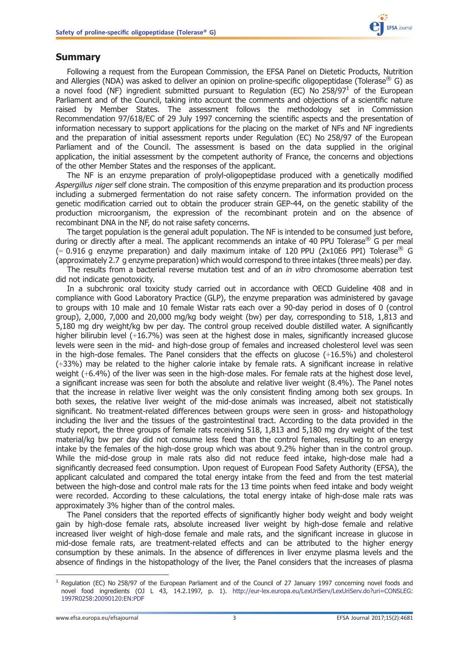

## <span id="page-2-0"></span>Summary

Following a request from the European Commission, the EFSA Panel on Dietetic Products, Nutrition and Allergies (NDA) was asked to deliver an opinion on proline-specific oligopeptidase (Tolerase<sup>®</sup> G) as a novel food (NF) ingredient submitted pursuant to Regulation (EC) No 258/97<sup>1</sup> of the European Parliament and of the Council, taking into account the comments and objections of a scientific nature raised by Member States. The assessment follows the methodology set in Commission Recommendation 97/618/EC of 29 July 1997 concerning the scientific aspects and the presentation of information necessary to support applications for the placing on the market of NFs and NF ingredients and the preparation of initial assessment reports under Regulation (EC) No 258/97 of the European Parliament and of the Council. The assessment is based on the data supplied in the original application, the initial assessment by the competent authority of France, the concerns and objections of the other Member States and the responses of the applicant.

The NF is an enzyme preparation of prolyl-oligopeptidase produced with a genetically modified Aspergillus niger self clone strain. The composition of this enzyme preparation and its production process including a submerged fermentation do not raise safety concern. The information provided on the genetic modification carried out to obtain the producer strain GEP-44, on the genetic stability of the production microorganism, the expression of the recombinant protein and on the absence of recombinant DNA in the NF, do not raise safety concerns.

The target population is the general adult population. The NF is intended to be consumed just before, during or directly after a meal. The applicant recommends an intake of 40 PPU Tolerase<sup>®</sup> G per meal  $(= 0.916$  g enzyme preparation) and daily maximum intake of 120 PPU (2x10E6 PPI) Tolerase<sup>®</sup> G (approximately 2.7 g enzyme preparation) which would correspond to three intakes (three meals) per day.

The results from a bacterial reverse mutation test and of an *in vitro* chromosome aberration test did not indicate genotoxicity.

In a subchronic oral toxicity study carried out in accordance with OECD Guideline 408 and in compliance with Good Laboratory Practice (GLP), the enzyme preparation was administered by gavage to groups with 10 male and 10 female Wistar rats each over a 90-day period in doses of 0 (control group), 2,000, 7,000 and 20,000 mg/kg body weight (bw) per day, corresponding to 518, 1,813 and 5,180 mg dry weight/kg bw per day. The control group received double distilled water. A significantly higher bilirubin level (+16.7%) was seen at the highest dose in males, significantly increased glucose levels were seen in the mid- and high-dose group of females and increased cholesterol level was seen in the high-dose females. The Panel considers that the effects on glucose (+16.5%) and cholesterol (+33%) may be related to the higher calorie intake by female rats. A significant increase in relative weight (+6.4%) of the liver was seen in the high-dose males. For female rats at the highest dose level, a significant increase was seen for both the absolute and relative liver weight (8.4%). The Panel notes that the increase in relative liver weight was the only consistent finding among both sex groups. In both sexes, the relative liver weight of the mid-dose animals was increased, albeit not statistically significant. No treatment-related differences between groups were seen in gross- and histopathology including the liver and the tissues of the gastrointestinal tract. According to the data provided in the study report, the three groups of female rats receiving 518, 1,813 and 5,180 mg dry weight of the test material/kg bw per day did not consume less feed than the control females, resulting to an energy intake by the females of the high-dose group which was about 9.2% higher than in the control group. While the mid-dose group in male rats also did not reduce feed intake, high-dose male had a significantly decreased feed consumption. Upon request of European Food Safety Authority (EFSA), the applicant calculated and compared the total energy intake from the feed and from the test material between the high-dose and control male rats for the 13 time points when feed intake and body weight were recorded. According to these calculations, the total energy intake of high-dose male rats was approximately 3% higher than of the control males.

The Panel considers that the reported effects of significantly higher body weight and body weight gain by high-dose female rats, absolute increased liver weight by high-dose female and relative increased liver weight of high-dose female and male rats, and the significant increase in glucose in mid-dose female rats, are treatment-related effects and can be attributed to the higher energy consumption by these animals. In the absence of differences in liver enzyme plasma levels and the absence of findings in the histopathology of the liver, the Panel considers that the increases of plasma

 $1$  Regulation (EC) No 258/97 of the European Parliament and of the Council of 27 January 1997 concerning novel foods and novel food ingredients (OJ L 43, 14.2.1997, p. 1). [http://eur-lex.europa.eu/LexUriServ/LexUriServ.do?uri=CONSLEG:](http://eur-lex.europa.eu/LexUriServ/LexUriServ.do?uri=CONSLEG:1997R0258:20090120:EN:PDF) [1997R0258:20090120:EN:PDF](http://eur-lex.europa.eu/LexUriServ/LexUriServ.do?uri=CONSLEG:1997R0258:20090120:EN:PDF)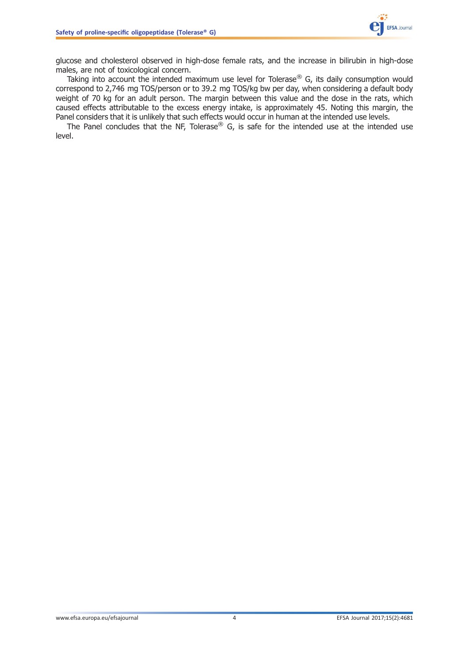

glucose and cholesterol observed in high-dose female rats, and the increase in bilirubin in high-dose males, are not of toxicological concern.

Taking into account the intended maximum use level for Tolerase<sup>®</sup> G, its daily consumption would correspond to 2,746 mg TOS/person or to 39.2 mg TOS/kg bw per day, when considering a default body weight of 70 kg for an adult person. The margin between this value and the dose in the rats, which caused effects attributable to the excess energy intake, is approximately 45. Noting this margin, the Panel considers that it is unlikely that such effects would occur in human at the intended use levels.

The Panel concludes that the NF, Tolerase<sup>®</sup> G, is safe for the intended use at the intended use level.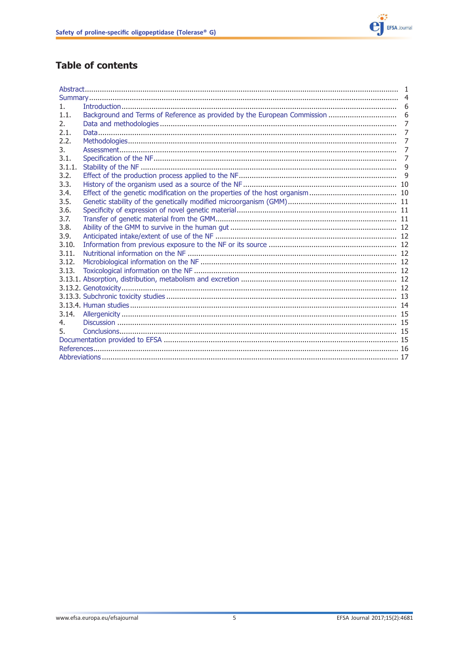

## **Table of contents**

| $1_{-}$                     |  | 6              |  |  |  |
|-----------------------------|--|----------------|--|--|--|
| 1.1.                        |  |                |  |  |  |
| $\mathcal{P}_{\mathcal{P}}$ |  | $\overline{7}$ |  |  |  |
| 2.1.                        |  | $\overline{7}$ |  |  |  |
| 2.2.                        |  | $\overline{7}$ |  |  |  |
| $\mathcal{E}$               |  | $\overline{7}$ |  |  |  |
| 3.1.                        |  | $\overline{7}$ |  |  |  |
| 3.1.1.                      |  | $\mathsf{q}$   |  |  |  |
| 3.2.                        |  |                |  |  |  |
| 3.3.                        |  |                |  |  |  |
| 3.4.                        |  |                |  |  |  |
| 3.5.                        |  |                |  |  |  |
| 3.6.                        |  |                |  |  |  |
| 3.7.                        |  |                |  |  |  |
| 3.8.                        |  |                |  |  |  |
| 3.9.                        |  |                |  |  |  |
| 3.10.                       |  |                |  |  |  |
| 3.11.                       |  |                |  |  |  |
| 3.12.                       |  |                |  |  |  |
| 3.13.                       |  |                |  |  |  |
|                             |  |                |  |  |  |
|                             |  |                |  |  |  |
|                             |  |                |  |  |  |
|                             |  |                |  |  |  |
| 3.14.                       |  |                |  |  |  |
|                             |  |                |  |  |  |
| 5.                          |  |                |  |  |  |
|                             |  |                |  |  |  |
|                             |  |                |  |  |  |
|                             |  |                |  |  |  |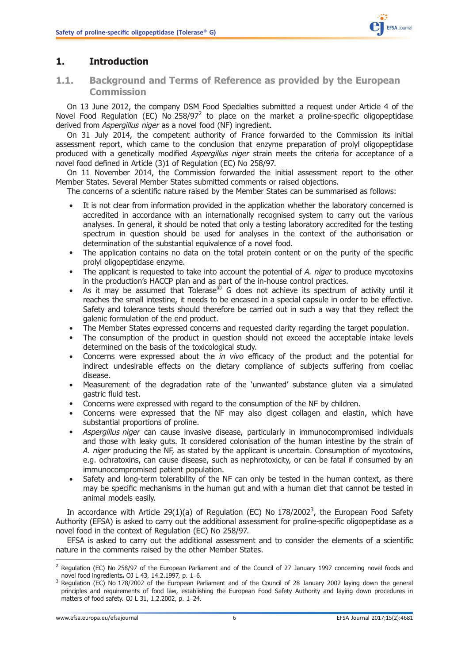

## <span id="page-5-0"></span>1. Introduction

#### 1.1. Background and Terms of Reference as provided by the European Commission

On 13 June 2012, the company DSM Food Specialties submitted a request under Article 4 of the Novel Food Regulation (EC) No  $258/97^2$  to place on the market a proline-specific oligopeptidase derived from Aspergillus niger as a novel food (NF) ingredient.

On 31 July 2014, the competent authority of France forwarded to the Commission its initial assessment report, which came to the conclusion that enzyme preparation of prolyl oligopeptidase produced with a genetically modified Aspergillus niger strain meets the criteria for acceptance of a novel food defined in Article (3)1 of Regulation (EC) No 258/97.

On 11 November 2014, the Commission forwarded the initial assessment report to the other Member States. Several Member States submitted comments or raised objections.

The concerns of a scientific nature raised by the Member States can be summarised as follows:

- It is not clear from information provided in the application whether the laboratory concerned is accredited in accordance with an internationally recognised system to carry out the various analyses. In general, it should be noted that only a testing laboratory accredited for the testing spectrum in question should be used for analyses in the context of the authorisation or determination of the substantial equivalence of a novel food.
- The application contains no data on the total protein content or on the purity of the specific prolyl oligopeptidase enzyme.
- The applicant is requested to take into account the potential of A. niger to produce mycotoxins in the production's HACCP plan and as part of the in-house control practices.
- As it may be assumed that Tolerase<sup>®</sup> G does not achieve its spectrum of activity until it reaches the small intestine, it needs to be encased in a special capsule in order to be effective. Safety and tolerance tests should therefore be carried out in such a way that they reflect the galenic formulation of the end product.
- The Member States expressed concerns and requested clarity regarding the target population.
- The consumption of the product in question should not exceed the acceptable intake levels determined on the basis of the toxicological study.
- Concerns were expressed about the *in vivo* efficacy of the product and the potential for indirect undesirable effects on the dietary compliance of subjects suffering from coeliac disease.
- Measurement of the degradation rate of the 'unwanted' substance gluten via a simulated gastric fluid test.
- Concerns were expressed with regard to the consumption of the NF by children.
- Concerns were expressed that the NF may also digest collagen and elastin, which have substantial proportions of proline.
- Aspergillus niger can cause invasive disease, particularly in immunocompromised individuals and those with leaky guts. It considered colonisation of the human intestine by the strain of A. niger producing the NF, as stated by the applicant is uncertain. Consumption of mycotoxins, e.g. ochratoxins, can cause disease, such as nephrotoxicity, or can be fatal if consumed by an immunocompromised patient population.
- Safety and long-term tolerability of the NF can only be tested in the human context, as there may be specific mechanisms in the human gut and with a human diet that cannot be tested in animal models easily.

In accordance with Article 29(1)(a) of Regulation (EC) No  $178/2002^3$ , the European Food Safety Authority (EFSA) is asked to carry out the additional assessment for proline-specific oligopeptidase as a novel food in the context of Regulation (EC) No 258/97.

EFSA is asked to carry out the additional assessment and to consider the elements of a scientific nature in the comments raised by the other Member States.

<sup>&</sup>lt;sup>2</sup> Regulation (EC) No 258/97 of the European Parliament and of the Council of 27 January 1997 concerning novel foods and novel foods indredients, OJ L 43. 14.2.1997. p. 1–6.

novel food ingredients. On 178/2002 of the European Parliament and of the Council of 28 January 2002 laying down the general principles and requirements of food law, establishing the European Food Safety Authority and laying down procedures in matters of food safety. OJ L 31, 1.2.2002, p. 1–24.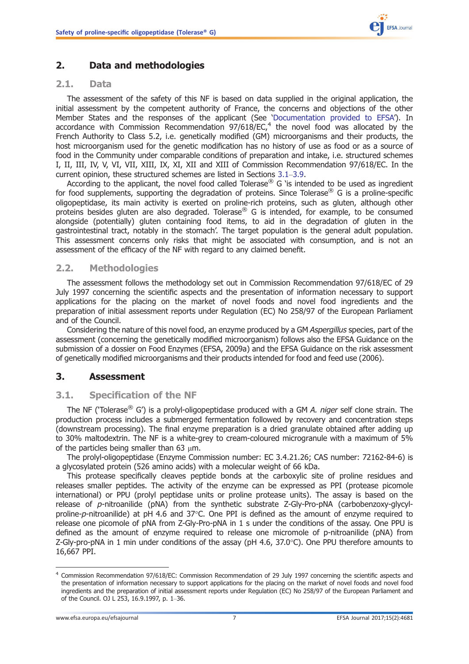## <span id="page-6-0"></span>2. Data and methodologies

#### 2.1. Data

The assessment of the safety of this NF is based on data supplied in the original application, the initial assessment by the competent authority of France, the concerns and objections of the other Member States and the responses of the applicant (See '[Documentation provided to EFSA](#page-14-0)'). In accordance with Commission Recommendation 97/618/EC,<sup>4</sup> the novel food was allocated by the French Authority to Class 5.2, i.e. genetically modified (GM) microorganisms and their products, the host microorganism used for the genetic modification has no history of use as food or as a source of food in the Community under comparable conditions of preparation and intake, i.e. structured schemes I, II, III, IV, V, VI, VII, XIII, IX, XI, XII and XIII of Commission Recommendation 97/618/EC. In the current opinion, these structured schemes are listed in Sections 3.1–[3.9.](#page-11-0)

According to the applicant, the novel food called Tolerase<sup>®</sup> G 'is intended to be used as ingredient for food supplements, supporting the degradation of proteins. Since Tolerase<sup>®</sup> G is a proline-specific oligopeptidase, its main activity is exerted on proline-rich proteins, such as gluten, although other proteins besides gluten are also degraded. Tolerase® G is intended, for example, to be consumed alongside (potentially) gluten containing food items, to aid in the degradation of gluten in the gastrointestinal tract, notably in the stomach'. The target population is the general adult population. This assessment concerns only risks that might be associated with consumption, and is not an assessment of the efficacy of the NF with regard to any claimed benefit.

#### 2.2. Methodologies

The assessment follows the methodology set out in Commission Recommendation 97/618/EC of 29 July 1997 concerning the scientific aspects and the presentation of information necessary to support applications for the placing on the market of novel foods and novel food ingredients and the preparation of initial assessment reports under Regulation (EC) No 258/97 of the European Parliament and of the Council.

Considering the nature of this novel food, an enzyme produced by a GM Aspergillus species, part of the assessment (concerning the genetically modified microorganism) follows also the EFSA Guidance on the submission of a dossier on Food Enzymes (EFSA, 2009a) and the EFSA Guidance on the risk assessment of genetically modified microorganisms and their products intended for food and feed use (2006).

## 3. Assessment

## 3.1. Specification of the NF

The NF ('Tolerase<sup>®</sup> G') is a prolyl-oligopeptidase produced with a GM A. niger self clone strain. The production process includes a submerged fermentation followed by recovery and concentration steps (downstream processing). The final enzyme preparation is a dried granulate obtained after adding up to 30% maltodextrin. The NF is a white-grey to cream-coloured microgranule with a maximum of 5% of the particles being smaller than 63  $\mu$ m.

The prolyl-oligopeptidase (Enzyme Commission number: EC 3.4.21.26; CAS number: 72162-84-6) is a glycosylated protein (526 amino acids) with a molecular weight of 66 kDa.

This protease specifically cleaves peptide bonds at the carboxylic site of proline residues and releases smaller peptides. The activity of the enzyme can be expressed as PPI (protease picomole international) or PPU (prolyl peptidase units or proline protease units). The assay is based on the release of  $p$ -nitroanilide (pNA) from the synthetic substrate Z-Gly-Pro-pNA (carbobenzoxy-glycylproline-p-nitroanilide) at pH 4.6 and 37°C. One PPI is defined as the amount of enzyme required to release one picomole of pNA from Z-Gly-Pro-pNA in 1 s under the conditions of the assay. One PPU is defined as the amount of enzyme required to release one micromole of p-nitroanilide (pNA) from Z-Gly-pro-pNA in 1 min under conditions of the assay (pH 4.6,  $37.0^{\circ}$ C). One PPU therefore amounts to 16,667 PPI.

<sup>4</sup> Commission Recommendation 97/618/EC: Commission Recommendation of 29 July 1997 concerning the scientific aspects and the presentation of information necessary to support applications for the placing on the market of novel foods and novel food ingredients and the preparation of initial assessment reports under Regulation (EC) No 258/97 of the European Parliament and of the Council. OJ L 253, 16.9.1997, p. 1–36.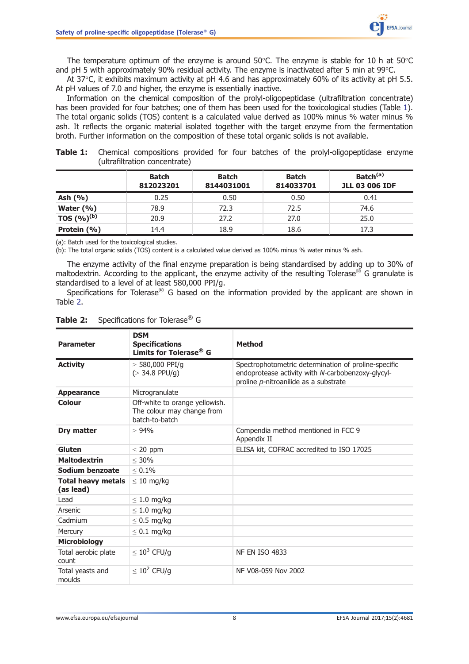<span id="page-7-0"></span>The temperature optimum of the enzyme is around 50°C. The enzyme is stable for 10 h at 50°C and pH 5 with approximately 90% residual activity. The enzyme is inactivated after 5 min at 99°C.

At 37°C, it exhibits maximum activity at pH 4.6 and has approximately 60% of its activity at pH 5.5. At pH values of 7.0 and higher, the enzyme is essentially inactive.

Information on the chemical composition of the prolyl-oligopeptidase (ultrafiltration concentrate) has been provided for four batches; one of them has been used for the toxicological studies (Table 1). The total organic solids (TOS) content is a calculated value derived as 100% minus % water minus % ash. It reflects the organic material isolated together with the target enzyme from the fermentation broth. Further information on the composition of these total organic solids is not available.

|  |                               |  |  |  | <b>Table 1:</b> Chemical compositions provided for four batches of the prolyl-oligopeptidase enzyme |  |
|--|-------------------------------|--|--|--|-----------------------------------------------------------------------------------------------------|--|
|  | (ultrafiltration concentrate) |  |  |  |                                                                                                     |  |

|                                | <b>Batch</b><br>812023201 | <b>Batch</b><br>8144031001 | <b>Batch</b><br>814033701 | Batch <sup>(a)</sup><br><b>JLL 03 006 IDF</b> |
|--------------------------------|---------------------------|----------------------------|---------------------------|-----------------------------------------------|
| Ash (%)                        | 0.25                      | 0.50                       | 0.50                      | 0.41                                          |
| Water $(% )$                   | 78.9                      | 72.3                       | 72.5                      | 74.6                                          |
| <b>TOS</b> $(^{0}/_{0})^{(b)}$ | 20.9                      | 27.2                       | 27.0                      | 25.0                                          |
| Protein (%)                    | 14.4                      | 18.9                       | 18.6                      | 17.3                                          |

(a): Batch used for the toxicological studies.

(b): The total organic solids (TOS) content is a calculated value derived as 100% minus % water minus % ash.

The enzyme activity of the final enzyme preparation is being standardised by adding up to 30% of maltodextrin. According to the applicant, the enzyme activity of the resulting Tolerase<sup>®</sup> G granulate is standardised to a level of at least 580,000 PPI/g.

Specifications for Tolerase<sup>®</sup> G based on the information provided by the applicant are shown in Table 2.

| Table 2: | Specifications for Tolerase® G |  |
|----------|--------------------------------|--|
|----------|--------------------------------|--|

| <b>Parameter</b>                       | <b>DSM</b><br><b>Specifications</b><br>Limits for Tolerase® G                  | <b>Method</b>                                                                                                                                      |
|----------------------------------------|--------------------------------------------------------------------------------|----------------------------------------------------------------------------------------------------------------------------------------------------|
| <b>Activity</b>                        | $> 580,000$ PPI/g<br>$( > 34.8$ PPU/g)                                         | Spectrophotometric determination of proline-specific<br>endoprotease activity with N-carbobenzoxy-glycyl-<br>proline p-nitroanilide as a substrate |
| <b>Appearance</b>                      | Microgranulate                                                                 |                                                                                                                                                    |
| Colour                                 | Off-white to orange yellowish.<br>The colour may change from<br>hatch-to-batch |                                                                                                                                                    |
| Dry matter                             | >94%                                                                           | Compendia method mentioned in FCC 9<br>Appendix II                                                                                                 |
| Gluten                                 | $< 20$ ppm                                                                     | ELISA kit, COFRAC accredited to ISO 17025                                                                                                          |
| <b>Maltodextrin</b>                    | < 30%                                                                          |                                                                                                                                                    |
| Sodium benzoate                        | $< 0.1\%$                                                                      |                                                                                                                                                    |
| <b>Total heavy metals</b><br>(as lead) | $\leq 10$ mg/kg                                                                |                                                                                                                                                    |
| Lead                                   | $\leq 1.0$ mg/kg                                                               |                                                                                                                                                    |
| Arsenic                                | $\leq 1.0$ mg/kg                                                               |                                                                                                                                                    |
| Cadmium                                | $\leq$ 0.5 mg/kg                                                               |                                                                                                                                                    |
| Mercury                                | $\leq 0.1$ mg/kg                                                               |                                                                                                                                                    |
| <b>Microbiology</b>                    |                                                                                |                                                                                                                                                    |
| Total aerobic plate<br>count           | $\leq 10^3$ CFU/g                                                              | <b>NF EN ISO 4833</b>                                                                                                                              |
| Total yeasts and<br>moulds             | $\leq 10^2$ CFU/g                                                              | NF V08-059 Nov 2002                                                                                                                                |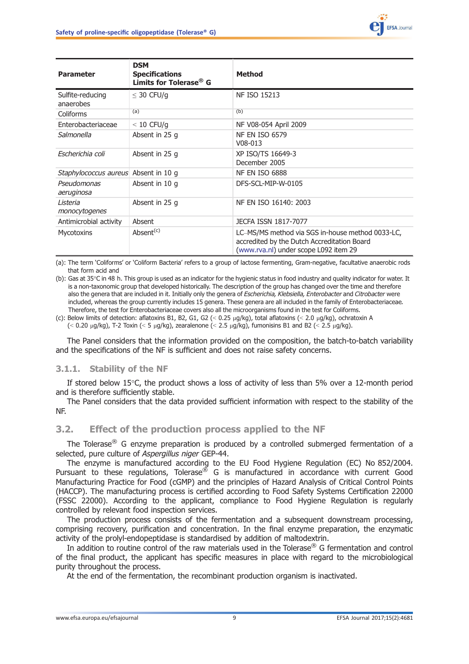

<span id="page-8-0"></span>

| <b>Parameter</b>                     | <b>DSM</b><br><b>Specifications</b><br>Limits for Tolerase <sup>®</sup> G | <b>Method</b>                                                                                                                            |
|--------------------------------------|---------------------------------------------------------------------------|------------------------------------------------------------------------------------------------------------------------------------------|
| Sulfite-reducing<br>anaerobes        | $\leq$ 30 CFU/g                                                           | NF ISO 15213                                                                                                                             |
| Coliforms                            | (a)                                                                       | (b)                                                                                                                                      |
| Enterobacteriaceae                   | $< 10$ CFU/g                                                              | NF V08-054 April 2009                                                                                                                    |
| Salmonella                           | Absent in 25 g                                                            | <b>NF EN ISO 6579</b><br>$V08-013$                                                                                                       |
| Escherichia coli                     | Absent in 25 g                                                            | XP ISO/TS 16649-3<br>December 2005                                                                                                       |
| Staphylococcus aureus Absent in 10 g |                                                                           | <b>NF EN ISO 6888</b>                                                                                                                    |
| Pseudomonas<br>aeruginosa            | Absent in 10 g                                                            | DFS-SCL-MIP-W-0105                                                                                                                       |
| Listeria<br>monocytogenes            | Absent in 25 g                                                            | NF EN ISO 16140: 2003                                                                                                                    |
| Antimicrobial activity               | Absent                                                                    | <b>JECFA ISSN 1817-7077</b>                                                                                                              |
| <b>Mycotoxins</b>                    | Absent <sup>(c)</sup>                                                     | LC-MS/MS method via SGS in-house method 0033-LC,<br>accredited by the Dutch Accreditation Board<br>(www.rva.nl) under scope L092 item 29 |

(a): The term 'Coliforms' or 'Coliform Bacteria' refers to a group of lactose fermenting, Gram-negative, facultative anaerobic rods that form acid and

(b): Gas at 35°C in 48 h. This group is used as an indicator for the hygienic status in food industry and quality indicator for water. It is a non-taxonomic group that developed historically. The description of the group has changed over the time and therefore also the genera that are included in it. Initially only the genera of Escherichia, Klebsiella, Enterobacter and Citrobacter were included, whereas the group currently includes 15 genera. These genera are all included in the family of Enterobacteriaceae. Therefore, the test for Enterobacteriaceae covers also all the microorganisms found in the test for Coliforms.

(c): Below limits of detection: aflatoxins B1, B2, G1, G2 (< 0.25  $\mu$ g/kg), total aflatoxins (< 2.0  $\mu$ g/kg), ochratoxin A  $\langle$  < 0.20  $\mu$ g/kg), T-2 Toxin  $\langle$  < 5  $\mu$ g/kg), zearalenone  $\langle$  < 2.5  $\mu$ g/kg), fumonisins B1 and B2  $\langle$  < 2.5  $\mu$ g/kg).

The Panel considers that the information provided on the composition, the batch-to-batch variability and the specifications of the NF is sufficient and does not raise safety concerns.

#### 3.1.1. Stability of the NF

If stored below 15°C, the product shows a loss of activity of less than 5% over a 12-month period and is therefore sufficiently stable.

The Panel considers that the data provided sufficient information with respect to the stability of the NF.

## 3.2. Effect of the production process applied to the NF

The Tolerase<sup>®</sup> G enzyme preparation is produced by a controlled submerged fermentation of a selected, pure culture of Aspergillus niger GEP-44.

The enzyme is manufactured according to the EU Food Hygiene Regulation (EC) No 852/2004. Pursuant to these regulations, Tolerase $^{\circledR}$  G is manufactured in accordance with current Good Manufacturing Practice for Food (cGMP) and the principles of Hazard Analysis of Critical Control Points (HACCP). The manufacturing process is certified according to Food Safety Systems Certification 22000 (FSSC 22000). According to the applicant, compliance to Food Hygiene Regulation is regularly controlled by relevant food inspection services.

The production process consists of the fermentation and a subsequent downstream processing, comprising recovery, purification and concentration. In the final enzyme preparation, the enzymatic activity of the prolyl-endopeptidase is standardised by addition of maltodextrin.

In addition to routine control of the raw materials used in the Tolerase® G fermentation and control of the final product, the applicant has specific measures in place with regard to the microbiological purity throughout the process.

At the end of the fermentation, the recombinant production organism is inactivated.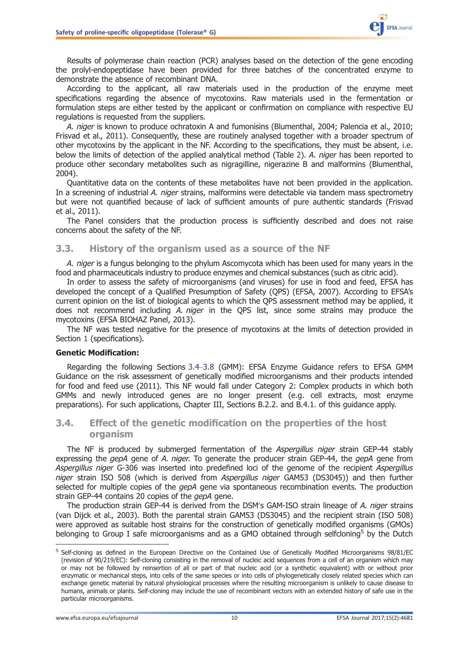<span id="page-9-0"></span>Results of polymerase chain reaction (PCR) analyses based on the detection of the gene encoding the prolyl-endopeptidase have been provided for three batches of the concentrated enzyme to demonstrate the absence of recombinant DNA.

According to the applicant, all raw materials used in the production of the enzyme meet specifications regarding the absence of mycotoxins. Raw materials used in the fermentation or formulation steps are either tested by the applicant or confirmation on compliance with respective EU regulations is requested from the suppliers.

A. niger is known to produce ochratoxin A and fumonisins (Blumenthal, 2004; Palencia et al., 2010; Frisvad et al., 2011). Consequently, these are routinely analysed together with a broader spectrum of other mycotoxins by the applicant in the NF. According to the specifications, they must be absent, i.e. below the limits of detection of the applied analytical method (Table [2](#page-7-0)). A. niger has been reported to produce other secondary metabolites such as nigragilline, nigerazine B and malformins (Blumenthal, 2004).

Quantitative data on the contents of these metabolites have not been provided in the application. In a screening of industrial A, *niger* strains, malformins were detectable via tandem mass spectrometry but were not quantified because of lack of sufficient amounts of pure authentic standards (Frisvad et al., 2011).

The Panel considers that the production process is sufficiently described and does not raise concerns about the safety of the NF.

#### 3.3. History of the organism used as a source of the NF

A. niger is a fungus belonging to the phylum Ascomycota which has been used for many years in the food and pharmaceuticals industry to produce enzymes and chemical substances (such as citric acid).

In order to assess the safety of microorganisms (and viruses) for use in food and feed, EFSA has developed the concept of a Qualified Presumption of Safety (QPS) (EFSA, 2007). According to EFSA's current opinion on the list of biological agents to which the QPS assessment method may be applied, it does not recommend including A. niger in the QPS list, since some strains may produce the mycotoxins (EFSA BIOHAZ Panel, 2013).

The NF was tested negative for the presence of mycotoxins at the limits of detection provided in Section [1](#page-5-0) (specifications).

#### Genetic Modification:

Regarding the following Sections 3.4–[3.8](#page-11-0) (GMM): EFSA Enzyme Guidance refers to EFSA GMM Guidance on the risk assessment of genetically modified microorganisms and their products intended for food and feed use (2011). This NF would fall under Category 2: Complex products in which both GMMs and newly introduced genes are no longer present (e.g. cell extracts, most enzyme preparations). For such applications, Chapter III, Sections B.2.2. and B.4.1. of this guidance apply.

### 3.4. Effect of the genetic modification on the properties of the host organism

The NF is produced by submerged fermentation of the Aspergillus niger strain GEP-44 stably expressing the  $qepA$  gene of A. niger. To generate the producer strain GEP-44, the  $qepA$  gene from Aspergillus niger G-306 was inserted into predefined loci of the genome of the recipient Aspergillus niger strain ISO 508 (which is derived from Aspergillus niger GAM53 (DS3045)) and then further selected for multiple copies of the gepA gene via spontaneous recombination events. The production strain GEP-44 contains 20 copies of the *gepA* gene.

The production strain GEP-44 is derived from the DSM's GAM-ISO strain lineage of *A. niger s*trains (van Dijck et al., 2003). Both the parental strain GAM53 (DS3045) and the recipient strain (ISO 508) were approved as suitable host strains for the construction of genetically modified organisms (GMOs) belonging to Group I safe microorganisms and as a GMO obtained through selfcloning<sup>5</sup> by the Dutch

<sup>&</sup>lt;sup>5</sup> Self-cloning as defined in the European Directive on the Contained Use of Genetically Modified Microorganisms 98/81/EC (revision of 90/219/EC): Self-cloning consisting in the removal of nucleic acid sequences from a cell of an organism which may or may not be followed by reinsertion of all or part of that nucleic acid (or a synthetic equivalent) with or without prior enzymatic or mechanical steps, into cells of the same species or into cells of phylogenetically closely related species which can exchange genetic material by natural physiological processes where the resulting microorganism is unlikely to cause disease to humans, animals or plants. Self-cloning may include the use of recombinant vectors with an extended history of safe use in the particular microorganisms.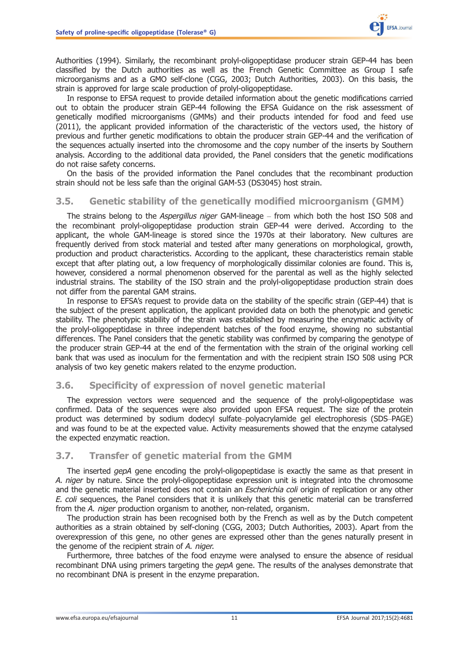

<span id="page-10-0"></span>Authorities (1994). Similarly, the recombinant prolyl-oligopeptidase producer strain GEP-44 has been classified by the Dutch authorities as well as the French Genetic Committee as Group I safe microorganisms and as a GMO self-clone (CGG, 2003; Dutch Authorities, 2003). On this basis, the strain is approved for large scale production of prolyl-oligopeptidase.

In response to EFSA request to provide detailed information about the genetic modifications carried out to obtain the producer strain GEP-44 following the EFSA Guidance on the risk assessment of genetically modified microorganisms (GMMs) and their products intended for food and feed use (2011), the applicant provided information of the characteristic of the vectors used, the history of previous and further genetic modifications to obtain the producer strain GEP-44 and the verification of the sequences actually inserted into the chromosome and the copy number of the inserts by Southern analysis. According to the additional data provided, the Panel considers that the genetic modifications do not raise safety concerns.

On the basis of the provided information the Panel concludes that the recombinant production strain should not be less safe than the original GAM-53 (DS3045) host strain.

## 3.5. Genetic stability of the genetically modified microorganism (GMM)

The strains belong to the Aspergillus niger GAM-lineage – from which both the host ISO 508 and the recombinant prolyl-oligopeptidase production strain GEP-44 were derived. According to the applicant, the whole GAM-lineage is stored since the 1970s at their laboratory. New cultures are frequently derived from stock material and tested after many generations on morphological, growth, production and product characteristics. According to the applicant, these characteristics remain stable except that after plating out, a low frequency of morphologically dissimilar colonies are found. This is, however, considered a normal phenomenon observed for the parental as well as the highly selected industrial strains. The stability of the ISO strain and the prolyl-oligopeptidase production strain does not differ from the parental GAM strains.

In response to EFSA's request to provide data on the stability of the specific strain (GEP-44) that is the subject of the present application, the applicant provided data on both the phenotypic and genetic stability. The phenotypic stability of the strain was established by measuring the enzymatic activity of the prolyl-oligopeptidase in three independent batches of the food enzyme, showing no substantial differences. The Panel considers that the genetic stability was confirmed by comparing the genotype of the producer strain GEP-44 at the end of the fermentation with the strain of the original working cell bank that was used as inoculum for the fermentation and with the recipient strain ISO 508 using PCR analysis of two key genetic makers related to the enzyme production.

#### 3.6. Specificity of expression of novel genetic material

The expression vectors were sequenced and the sequence of the prolyl-oligopeptidase was confirmed. Data of the sequences were also provided upon EFSA request. The size of the protein product was determined by sodium dodecyl sulfate–polyacrylamide gel electrophoresis (SDS–PAGE) and was found to be at the expected value. Activity measurements showed that the enzyme catalysed the expected enzymatic reaction.

#### 3.7. Transfer of genetic material from the GMM

The inserted gepA gene encoding the prolyl-oligopeptidase is exactly the same as that present in A. niger by nature. Since the prolyl-oligopeptidase expression unit is integrated into the chromosome and the genetic material inserted does not contain an *Escherichia coli* origin of replication or any other E. coli sequences, the Panel considers that it is unlikely that this genetic material can be transferred from the A. niger production organism to another, non-related, organism.

The production strain has been recognised both by the French as well as by the Dutch competent authorities as a strain obtained by self-cloning (CGG, 2003; Dutch Authorities, 2003). Apart from the overexpression of this gene, no other genes are expressed other than the genes naturally present in the genome of the recipient strain of A. niger.

Furthermore, three batches of the food enzyme were analysed to ensure the absence of residual recombinant DNA using primers targeting the *gepA* gene. The results of the analyses demonstrate that no recombinant DNA is present in the enzyme preparation.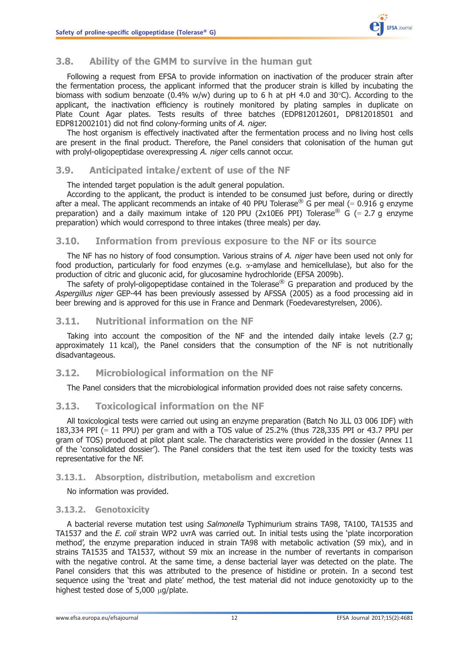## <span id="page-11-0"></span>3.8. Ability of the GMM to survive in the human gut

Following a request from EFSA to provide information on inactivation of the producer strain after the fermentation process, the applicant informed that the producer strain is killed by incubating the biomass with sodium benzoate (0.4% w/w) during up to 6 h at pH 4.0 and 30 $\degree$ C). According to the applicant, the inactivation efficiency is routinely monitored by plating samples in duplicate on Plate Count Agar plates. Tests results of three batches (EDP812012601, DP812018501 and EDP812002101) did not find colony-forming units of A. niger.

The host organism is effectively inactivated after the fermentation process and no living host cells are present in the final product. Therefore, the Panel considers that colonisation of the human gut with prolyl-oligopeptidase overexpressing A. niger cells cannot occur.

#### 3.9. Anticipated intake/extent of use of the NF

The intended target population is the adult general population.

According to the applicant, the product is intended to be consumed just before, during or directly after a meal. The applicant recommends an intake of 40 PPU Tolerase<sup>®</sup> G per meal (= 0.916 g enzyme preparation) and a daily maximum intake of 120 PPU (2x10E6 PPI) Tolerase<sup>®</sup> G (= 2.7 g enzyme preparation) which would correspond to three intakes (three meals) per day.

## 3.10. Information from previous exposure to the NF or its source

The NF has no history of food consumption. Various strains of A. niger have been used not only for food production, particularly for food enzymes (e.g.  $\alpha$ -amylase and hemicellulase), but also for the production of citric and gluconic acid, for glucosamine hydrochloride (EFSA 2009b).

The safety of prolyl-oligopeptidase contained in the Tolerase<sup>®</sup> G preparation and produced by the Aspergillus niger GEP-44 has been previously assessed by AFSSA (2005) as a food processing aid in beer brewing and is approved for this use in France and Denmark (Foedevarestyrelsen, 2006).

#### 3.11. Nutritional information on the NF

Taking into account the composition of the NF and the intended daily intake levels (2.7 g; approximately 11 kcal), the Panel considers that the consumption of the NF is not nutritionally disadvantageous.

## 3.12. Microbiological information on the NF

The Panel considers that the microbiological information provided does not raise safety concerns.

## 3.13. Toxicological information on the NF

All toxicological tests were carried out using an enzyme preparation (Batch No JLL 03 006 IDF) with 183,334 PPI (= 11 PPU) per gram and with a TOS value of 25.2% (thus 728,335 PPI or 43.7 PPU per gram of TOS) produced at pilot plant scale. The characteristics were provided in the dossier (Annex 11 of the 'consolidated dossier'). The Panel considers that the test item used for the toxicity tests was representative for the NF.

#### 3.13.1. Absorption, distribution, metabolism and excretion

No information was provided.

#### 3.13.2. Genotoxicity

A bacterial reverse mutation test using *Salmonella* Typhimurium strains TA98, TA100, TA1535 and TA1537 and the E. coli strain WP2 uvrA was carried out. In initial tests using the 'plate incorporation method', the enzyme preparation induced in strain TA98 with metabolic activation (S9 mix), and in strains TA1535 and TA1537, without S9 mix an increase in the number of revertants in comparison with the negative control. At the same time, a dense bacterial layer was detected on the plate. The Panel considers that this was attributed to the presence of histidine or protein. In a second test sequence using the 'treat and plate' method, the test material did not induce genotoxicity up to the highest tested dose of  $5,000 \mu g$ /plate.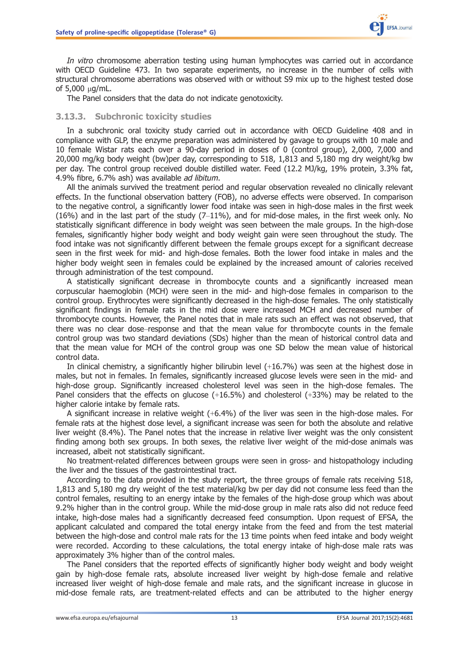

<span id="page-12-0"></span>In vitro chromosome aberration testing using human lymphocytes was carried out in accordance with OECD Guideline 473. In two separate experiments, no increase in the number of cells with structural chromosome aberrations was observed with or without S9 mix up to the highest tested dose of  $5,000 \mu q/mL$ .

The Panel considers that the data do not indicate genotoxicity.

#### 3.13.3. Subchronic toxicity studies

In a subchronic oral toxicity study carried out in accordance with OECD Guideline 408 and in compliance with GLP, the enzyme preparation was administered by gavage to groups with 10 male and 10 female Wistar rats each over a 90-day period in doses of 0 (control group), 2,000, 7,000 and 20,000 mg/kg body weight (bw)per day, corresponding to 518, 1,813 and 5,180 mg dry weight/kg bw per day. The control group received double distilled water. Feed (12.2 MJ/kg, 19% protein, 3.3% fat, 4.9% fibre, 6.7% ash) was available ad libitum.

All the animals survived the treatment period and regular observation revealed no clinically relevant effects. In the functional observation battery (FOB), no adverse effects were observed. In comparison to the negative control, a significantly lower food intake was seen in high-dose males in the first week (16%) and in the last part of the study (7–11%), and for mid-dose males, in the first week only. No statistically significant difference in body weight was seen between the male groups. In the high-dose females, significantly higher body weight and body weight gain were seen throughout the study. The food intake was not significantly different between the female groups except for a significant decrease seen in the first week for mid- and high-dose females. Both the lower food intake in males and the higher body weight seen in females could be explained by the increased amount of calories received through administration of the test compound.

A statistically significant decrease in thrombocyte counts and a significantly increased mean corpuscular haemoglobin (MCH) were seen in the mid- and high-dose females in comparison to the control group. Erythrocytes were significantly decreased in the high-dose females. The only statistically significant findings in female rats in the mid dose were increased MCH and decreased number of thrombocyte counts. However, the Panel notes that in male rats such an effect was not observed, that there was no clear dose–response and that the mean value for thrombocyte counts in the female control group was two standard deviations (SDs) higher than the mean of historical control data and that the mean value for MCH of the control group was one SD below the mean value of historical control data.

In clinical chemistry, a significantly higher bilirubin level (+16.7%) was seen at the highest dose in males, but not in females. In females, significantly increased glucose levels were seen in the mid- and high-dose group. Significantly increased cholesterol level was seen in the high-dose females. The Panel considers that the effects on glucose (+16.5%) and cholesterol (+33%) may be related to the higher calorie intake by female rats.

A significant increase in relative weight (+6.4%) of the liver was seen in the high-dose males. For female rats at the highest dose level, a significant increase was seen for both the absolute and relative liver weight (8.4%). The Panel notes that the increase in relative liver weight was the only consistent finding among both sex groups. In both sexes, the relative liver weight of the mid-dose animals was increased, albeit not statistically significant.

No treatment-related differences between groups were seen in gross- and histopathology including the liver and the tissues of the gastrointestinal tract.

According to the data provided in the study report, the three groups of female rats receiving 518, 1,813 and 5,180 mg dry weight of the test material/kg bw per day did not consume less feed than the control females, resulting to an energy intake by the females of the high-dose group which was about 9.2% higher than in the control group. While the mid-dose group in male rats also did not reduce feed intake, high-dose males had a significantly decreased feed consumption. Upon request of EFSA, the applicant calculated and compared the total energy intake from the feed and from the test material between the high-dose and control male rats for the 13 time points when feed intake and body weight were recorded. According to these calculations, the total energy intake of high-dose male rats was approximately 3% higher than of the control males.

The Panel considers that the reported effects of significantly higher body weight and body weight gain by high-dose female rats, absolute increased liver weight by high-dose female and relative increased liver weight of high-dose female and male rats, and the significant increase in glucose in mid-dose female rats, are treatment-related effects and can be attributed to the higher energy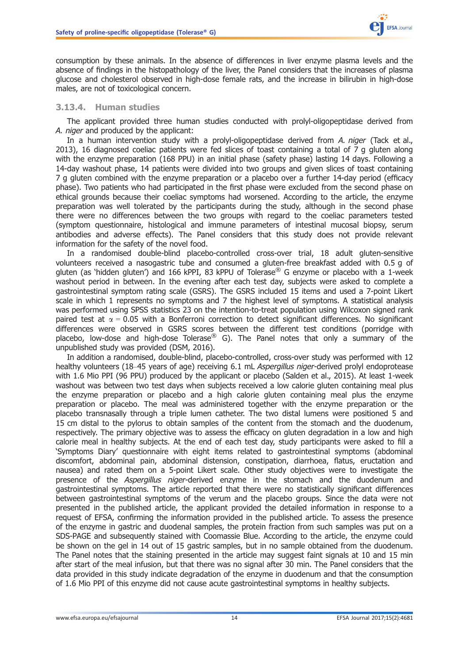<span id="page-13-0"></span>consumption by these animals. In the absence of differences in liver enzyme plasma levels and the absence of findings in the histopathology of the liver, the Panel considers that the increases of plasma glucose and cholesterol observed in high-dose female rats, and the increase in bilirubin in high-dose males, are not of toxicological concern.

#### 3.13.4. Human studies

The applicant provided three human studies conducted with prolyl-oligopeptidase derived from A. niger and produced by the applicant:

In a human intervention study with a prolyl-oligopeptidase derived from A. niger (Tack et al., 2013), 16 diagnosed coeliac patients were fed slices of toast containing a total of 7 g gluten along with the enzyme preparation (168 PPU) in an initial phase (safety phase) lasting 14 days. Following a 14-day washout phase, 14 patients were divided into two groups and given slices of toast containing 7 g gluten combined with the enzyme preparation or a placebo over a further 14-day period (efficacy phase). Two patients who had participated in the first phase were excluded from the second phase on ethical grounds because their coeliac symptoms had worsened. According to the article, the enzyme preparation was well tolerated by the participants during the study, although in the second phase there were no differences between the two groups with regard to the coeliac parameters tested (symptom questionnaire, histological and immune parameters of intestinal mucosal biopsy, serum antibodies and adverse effects). The Panel considers that this study does not provide relevant information for the safety of the novel food.

In a randomised double-blind placebo-controlled cross-over trial, 18 adult gluten-sensitive volunteers received a nasogastric tube and consumed a gluten-free breakfast added with 0.5 g of gluten (as 'hidden gluten') and 166 kPPI, 83 kPPU of Tolerase® G enzyme or placebo with a 1-week washout period in between. In the evening after each test day, subjects were asked to complete a gastrointestinal symptom rating scale (GSRS). The GSRS included 15 items and used a 7-point Likert scale in which 1 represents no symptoms and 7 the highest level of symptoms. A statistical analysis was performed using SPSS statistics 23 on the intention-to-treat population using Wilcoxon signed rank paired test at  $\alpha$  = 0.05 with a Bonferroni correction to detect significant differences. No significant differences were observed in GSRS scores between the different test conditions (porridge with placebo, low-dose and high-dose Tolerase<sup>®</sup> G). The Panel notes that only a summary of the unpublished study was provided (DSM, 2016).

In addition a randomised, double-blind, placebo-controlled, cross-over study was performed with 12 healthy volunteers (18–45 years of age) receiving 6.1 mL Aspergillus niger-derived prolyl endoprotease with 1.6 Mio PPI (96 PPU) produced by the applicant or placebo (Salden et al., 2015). At least 1-week washout was between two test days when subjects received a low calorie gluten containing meal plus the enzyme preparation or placebo and a high calorie gluten containing meal plus the enzyme preparation or placebo. The meal was administered together with the enzyme preparation or the placebo transnasally through a triple lumen catheter. The two distal lumens were positioned 5 and 15 cm distal to the pylorus to obtain samples of the content from the stomach and the duodenum, respectively. The primary objective was to assess the efficacy on gluten degradation in a low and high calorie meal in healthy subjects. At the end of each test day, study participants were asked to fill a 'Symptoms Diary' questionnaire with eight items related to gastrointestinal symptoms (abdominal discomfort, abdominal pain, abdominal distension, constipation, diarrhoea, flatus, eructation and nausea) and rated them on a 5-point Likert scale. Other study objectives were to investigate the presence of the Aspergillus niger-derived enzyme in the stomach and the duodenum and gastrointestinal symptoms. The article reported that there were no statistically significant differences between gastrointestinal symptoms of the verum and the placebo groups. Since the data were not presented in the published article, the applicant provided the detailed information in response to a request of EFSA, confirming the information provided in the published article. To assess the presence of the enzyme in gastric and duodenal samples, the protein fraction from such samples was put on a SDS-PAGE and subsequently stained with Coomassie Blue. According to the article, the enzyme could be shown on the gel in 14 out of 15 gastric samples, but in no sample obtained from the duodenum. The Panel notes that the staining presented in the article may suggest faint signals at 10 and 15 min after start of the meal infusion, but that there was no signal after 30 min. The Panel considers that the data provided in this study indicate degradation of the enzyme in duodenum and that the consumption of 1.6 Mio PPI of this enzyme did not cause acute gastrointestinal symptoms in healthy subjects.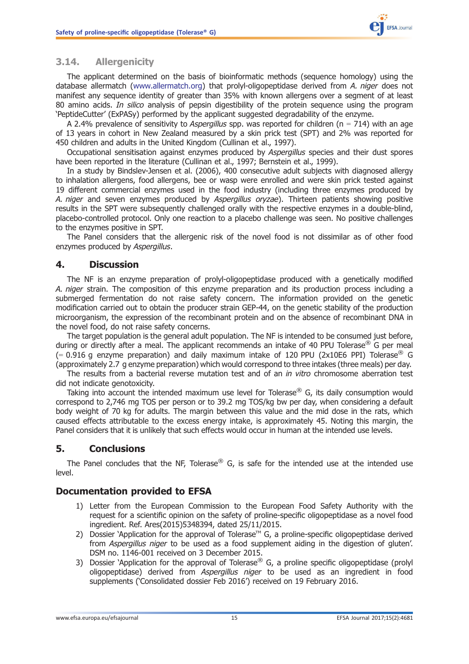

## <span id="page-14-0"></span>3.14. Allergenicity

The applicant determined on the basis of bioinformatic methods (sequence homology) using the database allermatch [\(www.allermatch.org\)](http://www.allermatch.org) that prolyl-oligopeptidase derived from A. niger does not manifest any sequence identity of greater than 35% with known allergens over a segment of at least 80 amino acids. In silico analysis of pepsin digestibility of the protein sequence using the program 'PeptideCutter' (ExPASy) performed by the applicant suggested degradability of the enzyme.

A 2.4% prevalence of sensitivity to Aspergillus spp. was reported for children ( $n = 714$ ) with an age of 13 years in cohort in New Zealand measured by a skin prick test (SPT) and 2% was reported for 450 children and adults in the United Kingdom (Cullinan et al., 1997).

Occupational sensitisation against enzymes produced by Aspergillus species and their dust spores have been reported in the literature (Cullinan et al., 1997; Bernstein et al., 1999).

In a study by Bindslev-Jensen et al. (2006), 400 consecutive adult subjects with diagnosed allergy to inhalation allergens, food allergens, bee or wasp were enrolled and were skin prick tested against 19 different commercial enzymes used in the food industry (including three enzymes produced by A. niger and seven enzymes produced by Aspergillus oryzae). Thirteen patients showing positive results in the SPT were subsequently challenged orally with the respective enzymes in a double-blind, placebo-controlled protocol. Only one reaction to a placebo challenge was seen. No positive challenges to the enzymes positive in SPT.

The Panel considers that the allergenic risk of the novel food is not dissimilar as of other food enzymes produced by Aspergillus.

## 4. Discussion

The NF is an enzyme preparation of prolyl-oligopeptidase produced with a genetically modified A. niger strain. The composition of this enzyme preparation and its production process including a submerged fermentation do not raise safety concern. The information provided on the genetic modification carried out to obtain the producer strain GEP-44, on the genetic stability of the production microorganism, the expression of the recombinant protein and on the absence of recombinant DNA in the novel food, do not raise safety concerns.

The target population is the general adult population. The NF is intended to be consumed just before, during or directly after a meal. The applicant recommends an intake of 40 PPU Tolerase<sup>®</sup> G per meal  $(= 0.916$  g enzyme preparation) and daily maximum intake of 120 PPU (2x10E6 PPI) Tolerase<sup>®</sup> G (approximately 2.7 g enzyme preparation) which would correspond to three intakes (three meals) per day.

The results from a bacterial reverse mutation test and of an *in vitro* chromosome aberration test did not indicate genotoxicity.

Taking into account the intended maximum use level for Tolerase<sup>®</sup> G, its daily consumption would correspond to 2,746 mg TOS per person or to 39.2 mg TOS/kg bw per day, when considering a default body weight of 70 kg for adults. The margin between this value and the mid dose in the rats, which caused effects attributable to the excess energy intake, is approximately 45. Noting this margin, the Panel considers that it is unlikely that such effects would occur in human at the intended use levels.

## 5. Conclusions

The Panel concludes that the NF, Tolerase<sup>®</sup> G, is safe for the intended use at the intended use level.

## Documentation provided to EFSA

- 1) Letter from the European Commission to the European Food Safety Authority with the request for a scientific opinion on the safety of proline-specific oligopeptidase as a novel food ingredient. Ref. Ares(2015)5348394, dated 25/11/2015.
- 2) Dossier 'Application for the approval of Tolerase<sup>TM</sup> G, a proline-specific oligopeptidase derived from *Aspergillus niger* to be used as a food supplement aiding in the digestion of gluten'. DSM no. 1146-001 received on 3 December 2015.
- 3) Dossier 'Application for the approval of Tolerase® G, a proline specific oligopeptidase (prolyl oligopeptidase) derived from Aspergillus niger to be used as an ingredient in food supplements ('Consolidated dossier Feb 2016') received on 19 February 2016.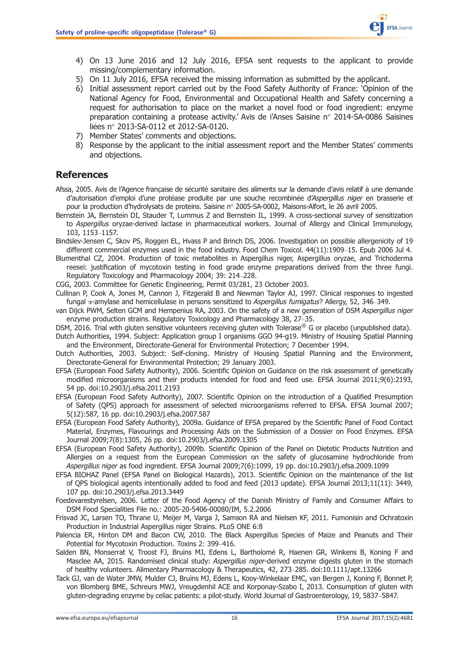

- <span id="page-15-0"></span>4) On 13 June 2016 and 12 July 2016, EFSA sent requests to the applicant to provide missing/complementary information.
- 5) On 11 July 2016, EFSA received the missing information as submitted by the applicant.
- 6) Initial assessment report carried out by the Food Safety Authority of France: 'Opinion of the National Agency for Food, Environmental and Occupational Health and Safety concerning a request for authorisation to place on the market a novel food or food ingredient: enzyme preparation containing a protease activity.' Avis de i'Anses Saisine n° 2014-SA-0086 Saisines liées n° 2013-SA-0112 et 2012-SA-0120.
- 7) Member States' comments and objections.
- 8) Response by the applicant to the initial assessment report and the Member States' comments and objections.

## References

- Afssa, 2005. Avis de l'Agence française de sécurité sanitaire des aliments sur la demande d'avis relatif à une demande d'autorisation d'emploi d'une protéase produite par une souche recombinée d'Aspergillus niger en brasserie et pour la production d'hydrolysats de proteins. Saisine n° 2005-SA-0002, Maisons-Alfort, le 26 avril 2005.
- Bernstein JA, Bernstein DI, Stauder T, Lummus Z and Bernstein IL, 1999. A cross-sectional survey of sensitization to Aspergillus oryzae-derived lactase in pharmaceutical workers. Journal of Allergy and Clinical Immunology, 103, 1153–1157.
- Bindslev-Jensen C, Skov PS, Roggen EL, Hvass P and Brinch DS, 2006. Investigation on possible allergenicity of 19 different commercial enzymes used in the food industry. Food Chem Toxicol. 44(11):1909–15. Epub 2006 Jul 4.
- Blumenthal CZ, 2004. Production of toxic metabolites in Aspergillus niger, Aspergillus oryzae, and Trichoderma reesei: justification of mycotoxin testing in food grade enzyme preparations derived from the three fungi. Regulatory Toxicology and Pharmacology 2004; 39: 214–228.
- CGG, 2003. Committee for Genetic Engineering, Permit 03/281, 23 October 2003.
- Cullinan P, Cook A, Jones M, Cannon J, Fitzgerald B and Newman Taylor AJ, 1997. Clinical responses to ingested fungal «-amylase and hemicellulase in persons sensitized to Aspergillus fumigatus? Allergy, 52, 346–349.
- van Dijck PWM, Selten GCM and Hempenius RA, 2003. On the safety of a new generation of DSM Aspergillus niger enzyme production strains. Regulatory Toxicology and Pharmacology 38, 27–35.
- DSM, 2016. Trial with gluten sensitive volunteers receiving gluten with Tolerase® G or placebo (unpublished data). Dutch Authorities, 1994. Subject: Application group I organisms GGO 94-g19. Ministry of Housing Spatial Planning

and the Environment, Directorate-General for Environmental Protection; 7 December 1994.

- Dutch Authorities, 2003. Subject: Self-cloning. Ministry of Housing Spatial Planning and the Environment, Directorate-General for Environmental Protection; 29 January 2003.
- EFSA (European Food Safety Authority), 2006. Scientific Opinion on Guidance on the risk assessment of genetically modified microorganisms and their products intended for food and feed use. EFSA Journal 2011;9(6):2193, 54 pp. doi:[10.2903/j.efsa.2011.2193](https://doi.org/10.2903/j.efsa.2011.2193)
- EFSA (European Food Safety Authority), 2007. Scientific Opinion on the introduction of a Qualified Presumption of Safety (QPS) approach for assessment of selected microorganisms referred to EFSA. EFSA Journal 2007; 5(12):587, 16 pp. doi:10.2903/j.efsa.2007.587
- EFSA (European Food Safety Authority), 2009a. Guidance of EFSA prepared by the Scientific Panel of Food Contact Material, Enzymes, Flavourings and Processing Aids on the Submission of a Dossier on Food Enzymes. EFSA Journal 2009;7(8):1305, 26 pp. doi[:10.2903/j.efsa.2009.1305](https://doi.org/10.2903/j.efsa.2009.1305)
- EFSA (European Food Safety Authority), 2009b. Scientific Opinion of the Panel on Dietetic Products Nutrition and Allergies on a request from the European Commission on the safety of glucosamine hydrochloride from Aspergillus niger as food ingredient. EFSA Journal 2009;7(6):1099, 19 pp. doi[:10.2903/j.efsa.2009.1099](https://doi.org/10.2903/j.efsa.2009.1099)
- EFSA BIOHAZ Panel (EFSA Panel on Biological Hazards), 2013. Scientific Opinion on the maintenance of the list of QPS biological agents intentionally added to food and feed (2013 update). EFSA Journal 2013;11(11): 3449, 107 pp. doi:[10.2903/j.efsa.2013.3449](https://doi.org/10.2903/j.efsa.2013.3449)
- Foedevarestyrelsen, 2006. Letter of the Food Agency of the Danish Ministry of Family and Consumer Affairs to DSM Food Specialities File no.: 2005-20-5406-00080/IM, 5.2.2006
- Frisvad JC, Larsen TO, Thrane U, Meijer M, Varga J, Samson RA and Nielsen KF, 2011. Fumonisin and Ochratoxin Production in Industrial Aspergillus niger Strains. PLoS ONE 6:8
- Palencia ER, Hinton DM and Bacon CW, 2010. The Black Aspergillus Species of Maize and Peanuts and Their Potential for Mycotoxin Production. Toxins 2: 399–416.
- Salden BN, Monserrat V, Troost FJ, Bruins MJ, Edens L, Bartholomé R, Haenen GR, Winkens B, Koning F and Masclee AA, 2015. Randomised clinical study: Aspergillus niger-derived enzyme digests gluten in the stomach of healthy volunteers. Alimentary Pharmacology & Therapeutics, 42, 273–285. doi:[10.1111/apt.13266](https://doi.org/10.1111/apt.13266)
- Tack GJ, van de Water JMW, Mulder CJ, Bruins MJ, Edens L, Kooy-Winkelaar EMC, van Bergen J, Koning F, Bonnet P, von Blomberg BME, Schreurs MWJ, Vreugdenhil ACE and Korponay-Szabo I, 2013. Consumption of gluten with gluten-degrading enzyme by celiac patients: a pilot-study. World Journal of Gastroenterology, 19, 5837–5847.